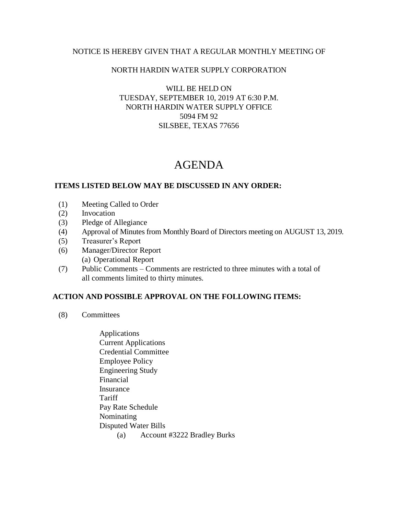#### NOTICE IS HEREBY GIVEN THAT A REGULAR MONTHLY MEETING OF

### NORTH HARDIN WATER SUPPLY CORPORATION

## WILL BE HELD ON TUESDAY, SEPTEMBER 10, 2019 AT 6:30 P.M. NORTH HARDIN WATER SUPPLY OFFICE 5094 FM 92 SILSBEE, TEXAS 77656

# AGENDA

### **ITEMS LISTED BELOW MAY BE DISCUSSED IN ANY ORDER:**

- (1) Meeting Called to Order
- (2) Invocation
- (3) Pledge of Allegiance
- (4) Approval of Minutes from Monthly Board of Directors meeting on AUGUST 13, 2019.
- (5) Treasurer's Report
- (6) Manager/Director Report (a) Operational Report
- (7) Public Comments Comments are restricted to three minutes with a total of all comments limited to thirty minutes.

## **ACTION AND POSSIBLE APPROVAL ON THE FOLLOWING ITEMS:**

- (8) Committees
	- Applications Current Applications Credential Committee Employee Policy Engineering Study Financial Insurance **Tariff**  Pay Rate Schedule Nominating Disputed Water Bills (a) Account #3222 Bradley Burks